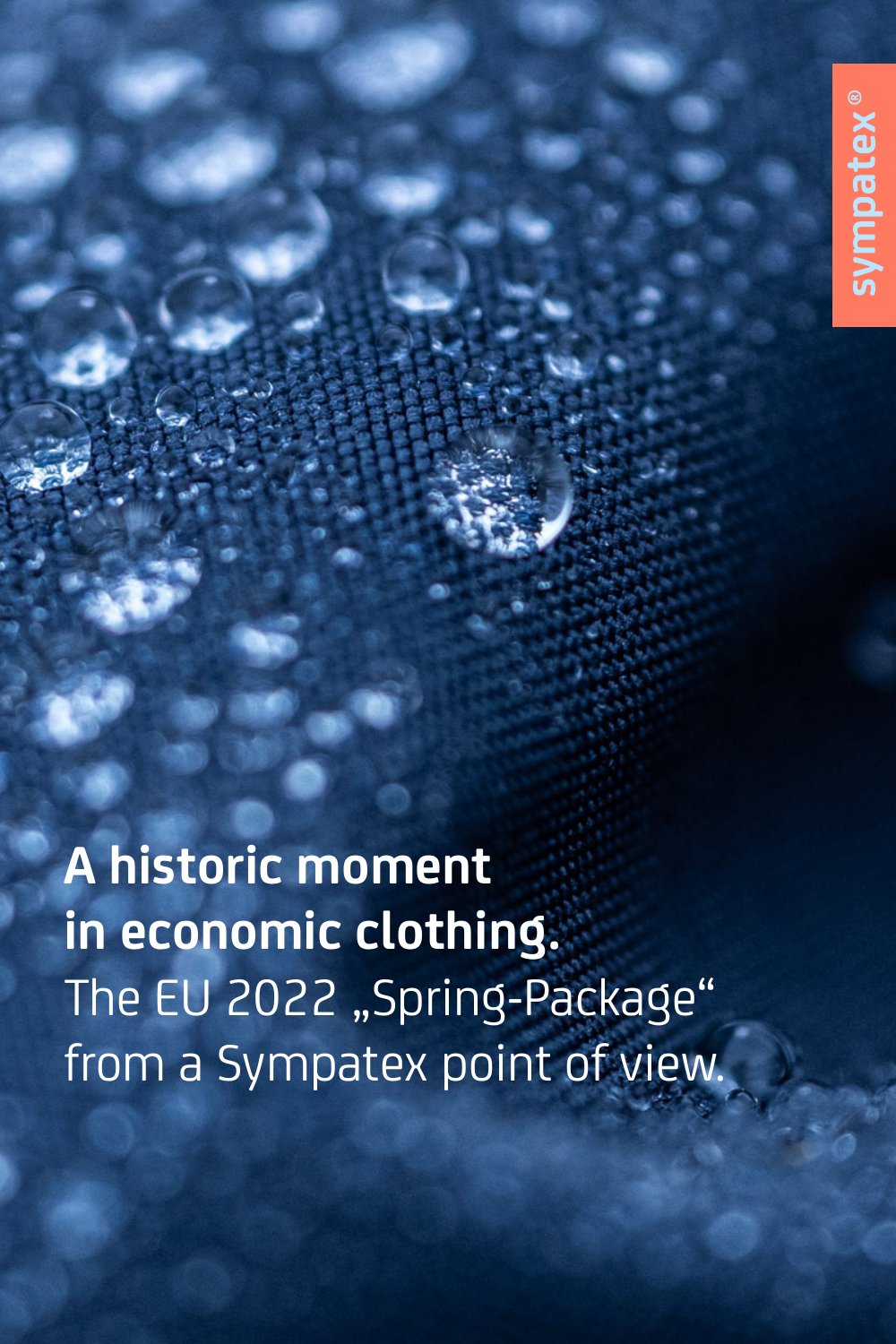**A historic moment in economic clothing.**  The EU 2022 "Spring-Package" from a Sympatex point of view.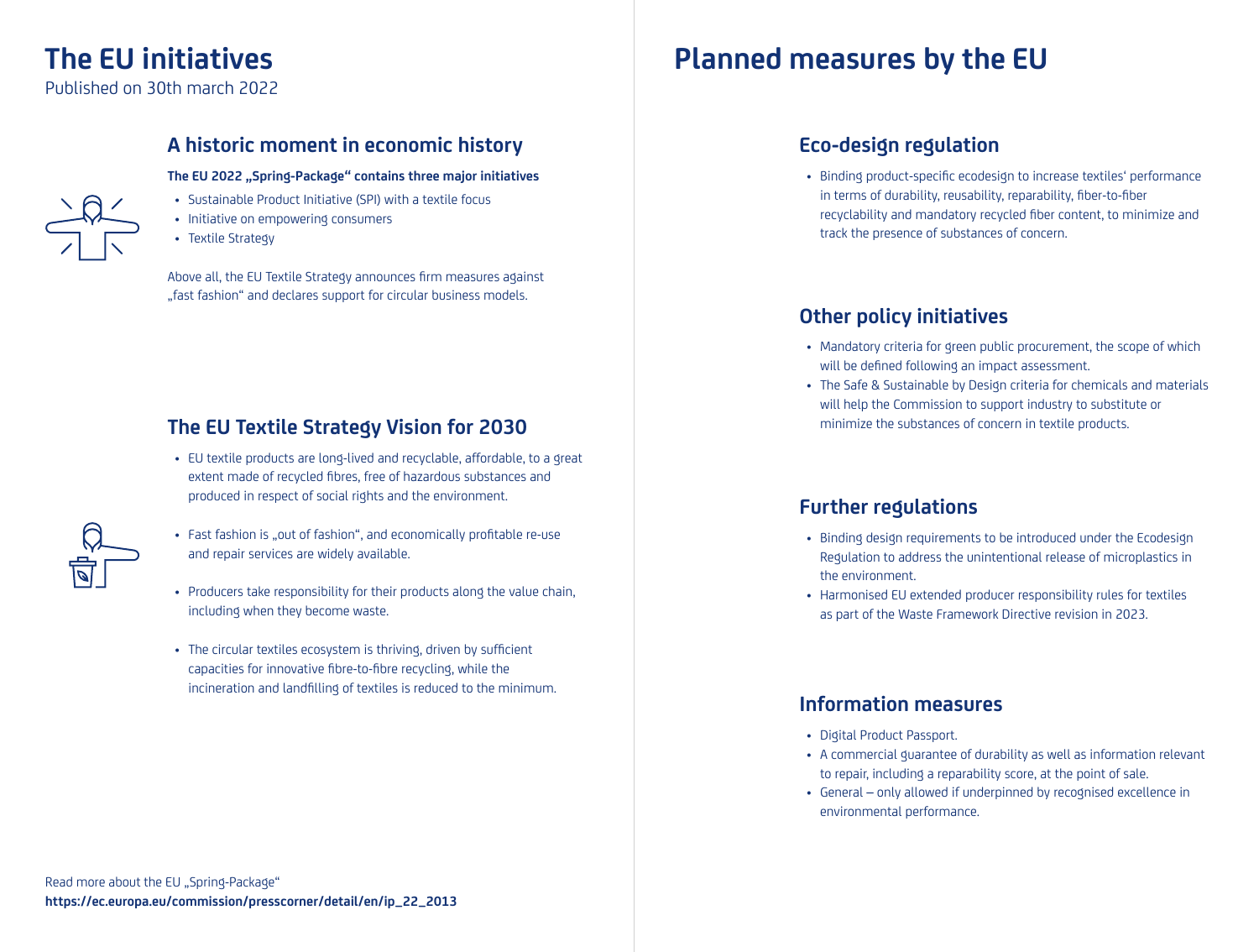# **The EU initiatives**

Published on 30th march 2022

## **A historic moment in economic history**

The EU 2022 "Spring-Package" contains three major initiatives

- Sustainable Product Initiative (SPI) with a textile focus
- Initiative on empowering consumers
- Textile Strategy

Above all, the EU Textile Strategy announces firm measures against "fast fashion" and declares support for circular business models.

## **The EU Textile Strategy Vision for 2030**

- EU textile products are long-lived and recyclable, affordable, to a great extent made of recycled fibres, free of hazardous substances and produced in respect of social rights and the environment.
- 
- Fast fashion is "out of fashion", and economically profitable re-use and repair services are widely available.
- Producers take responsibility for their products along the value chain, including when they become waste.
- The circular textiles ecosystem is thriving, driven by sufficient capacities for innovative fibre-to-fibre recycling, while the incineration and landfilling of textiles is reduced to the minimum.

## **Planned measures by the EU**

## **Eco-design regulation**

• Binding product-specific ecodesign to increase textiles' performance in terms of durability, reusability, reparability, fiber-to-fiber recyclability and mandatory recycled fiber content, to minimize and track the presence of substances of concern.

## **Other policy initiatives**

- Mandatory criteria for green public procurement, the scope of which will be defined following an impact assessment.
- The Safe & Sustainable by Design criteria for chemicals and materials will help the Commission to support industry to substitute or minimize the substances of concern in textile products.

## **Further regulations**

- Binding design requirements to be introduced under the Ecodesign Regulation to address the unintentional release of microplastics in the environment.
- Harmonised EU extended producer responsibility rules for textiles as part of the Waste Framework Directive revision in 2023.

## **Information measures**

- Digital Product Passport.
- A commercial guarantee of durability as well as information relevant to repair, including a reparability score, at the point of sale.
- General only allowed if underpinned by recognised excellence in environmental performance.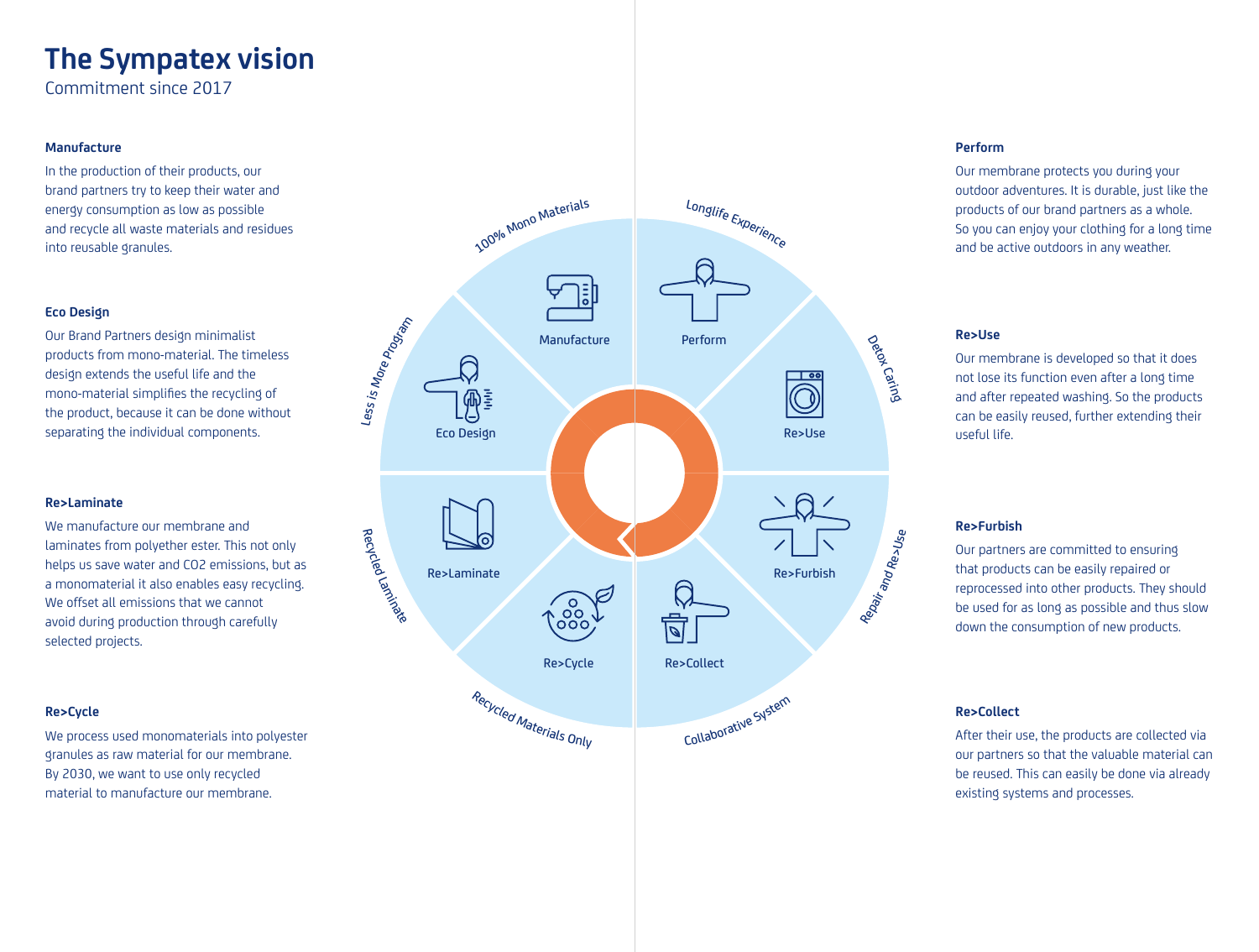# **The Sympatex vision**

Commitment since 2017

#### **Manufacture**

In the production of their products, our brand partners try to keep their water and energy consumption as low as possible and recycle all waste materials and residues into reusable granules.

#### **Eco Design**

Our Brand Partners design minimalist products from mono-material. The timeless design extends the useful life and the mono-material simplifies the recycling of the product, because it can be done without separating the individual components.

#### **Re>Laminate**

We manufacture our membrane and laminates from polyether ester. This not only helps us save water and CO2 emissions, but as a monomaterial it also enables easy recycling. We offset all emissions that we cannot avoid during production through carefully selected projects.

#### **Re>Cycle**

We process used monomaterials into polyester granules as raw material for our membrane. By 2030, we want to use only recycled material to manufacture our membrane.



#### **Perform**

Our membrane protects you during your outdoor adventures. It is durable, just like the products of our brand partners as a whole. So you can enjoy your clothing for a long time and be active outdoors in any weather.

#### **Re>Use**

Our membrane is developed so that it does not lose its function even after a long time and after repeated washing. So the products can be easily reused, further extending their useful life.

#### **Re>Furbish**

Our partners are committed to ensuring that products can be easily repaired or reprocessed into other products. They should be used for as long as possible and thus slow down the consumption of new products.

#### **Re>Collect**

After their use, the products are collected via our partners so that the valuable material can be reused. This can easily be done via already existing systems and processes.